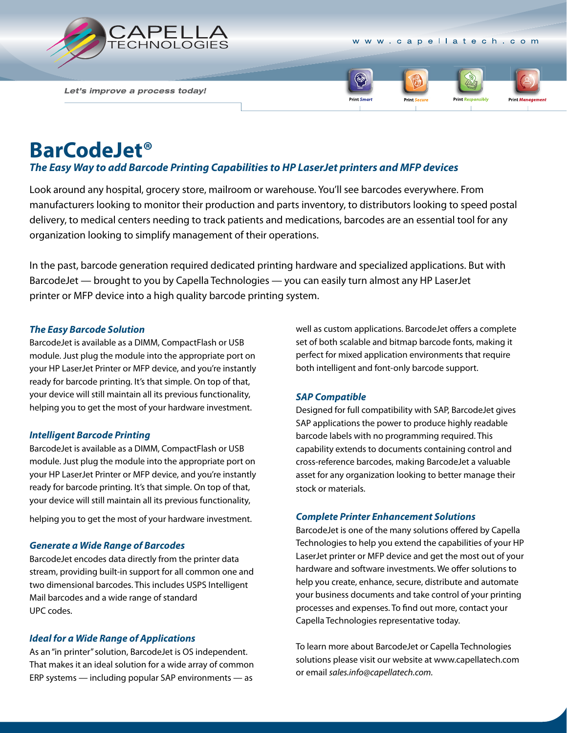

www.capellatech.com

Let's improve a process today!



# **BarCodeJet®**

## *The Easy Way to add Barcode Printing Capabilities to HP LaserJet printers and MFP devices*

Look around any hospital, grocery store, mailroom or warehouse. You'll see barcodes everywhere. From manufacturers looking to monitor their production and parts inventory, to distributors looking to speed postal delivery, to medical centers needing to track patients and medications, barcodes are an essential tool for any organization looking to simplify management of their operations.

In the past, barcode generation required dedicated printing hardware and specialized applications. But with BarcodeJet — brought to you by Capella Technologies — you can easily turn almost any HP LaserJet printer or MFP device into a high quality barcode printing system.

### *The Easy Barcode Solution*

BarcodeJet is available as a DIMM, CompactFlash or USB module. Just plug the module into the appropriate port on your HP LaserJet Printer or MFP device, and you're instantly ready for barcode printing. It's that simple. On top of that, your device will still maintain all its previous functionality, helping you to get the most of your hardware investment.

#### *Intelligent Barcode Printing*

BarcodeJet is available as a DIMM, CompactFlash or USB module. Just plug the module into the appropriate port on your HP LaserJet Printer or MFP device, and you're instantly ready for barcode printing. It's that simple. On top of that, your device will still maintain all its previous functionality,

helping you to get the most of your hardware investment.

#### *Generate a Wide Range of Barcodes*

BarcodeJet encodes data directly from the printer data stream, providing built-in support for all common one and two dimensional barcodes. This includes USPS Intelligent Mail barcodes and a wide range of standard UPC codes.

#### *Ideal for a Wide Range of Applications*

As an "in printer" solution, BarcodeJet is OS independent. That makes it an ideal solution for a wide array of common ERP systems — including popular SAP environments — as

well as custom applications. BarcodeJet offers a complete set of both scalable and bitmap barcode fonts, making it perfect for mixed application environments that require both intelligent and font-only barcode support.

#### *SAP Compatible*

Designed for full compatibility with SAP, BarcodeJet gives SAP applications the power to produce highly readable barcode labels with no programming required. This capability extends to documents containing control and cross-reference barcodes, making BarcodeJet a valuable asset for any organization looking to better manage their stock or materials.

#### *Complete Printer Enhancement Solutions*

BarcodeJet is one of the many solutions offered by Capella Technologies to help you extend the capabilities of your HP LaserJet printer or MFP device and get the most out of your hardware and software investments. We offer solutions to help you create, enhance, secure, distribute and automate your business documents and take control of your printing processes and expenses. To find out more, contact your Capella Technologies representative today.

To learn more about BarcodeJet or Capella Technologies solutions please visit our website at www.capellatech.com or email *sales.info@capellatech.com.*